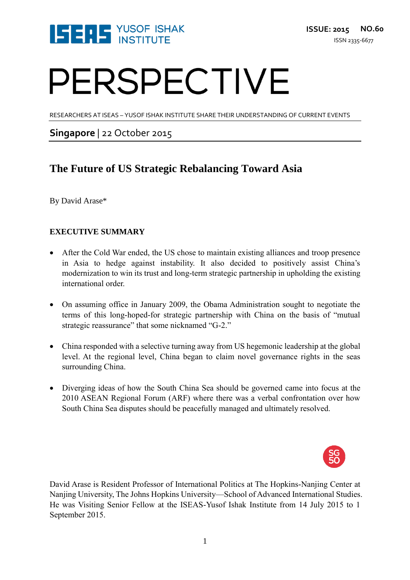

# PERSPECTIVE

RESEARCHERS AT ISEAS – YUSOF ISHAK INSTITUTE SHARE THEIR UNDERSTANDING OF CURRENT EVENTS

### **Singapore** | 22 October 2015

### **The Future of US Strategic Rebalancing Toward Asia**

By David Arase\*

#### **EXECUTIVE SUMMARY**

- After the Cold War ended, the US chose to maintain existing alliances and troop presence in Asia to hedge against instability. It also decided to positively assist China's modernization to win its trust and long-term strategic partnership in upholding the existing international order.
- On assuming office in January 2009, the Obama Administration sought to negotiate the terms of this long-hoped-for strategic partnership with China on the basis of "mutual strategic reassurance" that some nicknamed "G-2."
- China responded with a selective turning away from US hegemonic leadership at the global level. At the regional level, China began to claim novel governance rights in the seas surrounding China.
- Diverging ideas of how the South China Sea should be governed came into focus at the 2010 ASEAN Regional Forum (ARF) where there was a verbal confrontation over how South China Sea disputes should be peacefully managed and ultimately resolved.



David Arase is Resident Professor of International Politics at The Hopkins-Nanjing Center at Nanjing University, The Johns Hopkins University—School of Advanced International Studies. He was Visiting Senior Fellow at the ISEAS-Yusof Ishak Institute from 14 July 2015 to 1 September 2015.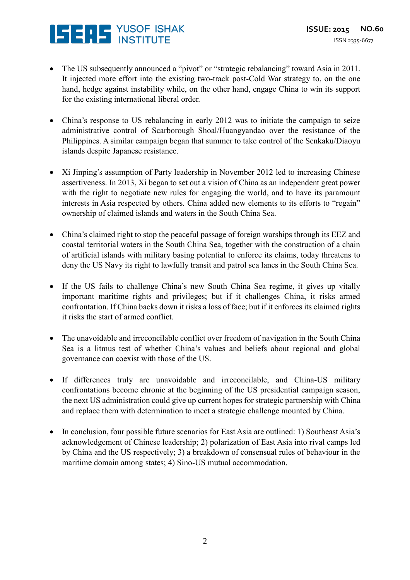# **ISERS** YUSOF ISHAK

- The US subsequently announced a "pivot" or "strategic rebalancing" toward Asia in 2011. It injected more effort into the existing two-track post-Cold War strategy to, on the one hand, hedge against instability while, on the other hand, engage China to win its support for the existing international liberal order.
- China's response to US rebalancing in early 2012 was to initiate the campaign to seize administrative control of Scarborough Shoal/Huangyandao over the resistance of the Philippines. A similar campaign began that summer to take control of the Senkaku/Diaoyu islands despite Japanese resistance.
- Xi Jinping's assumption of Party leadership in November 2012 led to increasing Chinese assertiveness. In 2013, Xi began to set out a vision of China as an independent great power with the right to negotiate new rules for engaging the world, and to have its paramount interests in Asia respected by others. China added new elements to its efforts to "regain" ownership of claimed islands and waters in the South China Sea.
- China's claimed right to stop the peaceful passage of foreign warships through its EEZ and coastal territorial waters in the South China Sea, together with the construction of a chain of artificial islands with military basing potential to enforce its claims, today threatens to deny the US Navy its right to lawfully transit and patrol sea lanes in the South China Sea.
- If the US fails to challenge China's new South China Sea regime, it gives up vitally important maritime rights and privileges; but if it challenges China, it risks armed confrontation. If China backs down it risks a loss of face; but if it enforces its claimed rights it risks the start of armed conflict.
- The unavoidable and irreconcilable conflict over freedom of navigation in the South China Sea is a litmus test of whether China's values and beliefs about regional and global governance can coexist with those of the US.
- If differences truly are unavoidable and irreconcilable, and China-US military confrontations become chronic at the beginning of the US presidential campaign season, the next US administration could give up current hopes for strategic partnership with China and replace them with determination to meet a strategic challenge mounted by China.
- In conclusion, four possible future scenarios for East Asia are outlined: 1) Southeast Asia's acknowledgement of Chinese leadership; 2) polarization of East Asia into rival camps led by China and the US respectively; 3) a breakdown of consensual rules of behaviour in the maritime domain among states; 4) Sino-US mutual accommodation.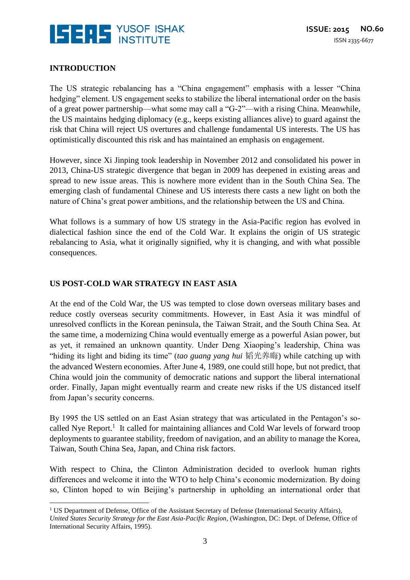

#### **INTRODUCTION**

 $\overline{\phantom{a}}$ 

The US strategic rebalancing has a "China engagement" emphasis with a lesser "China hedging" element. US engagement seeks to stabilize the liberal international order on the basis of a great power partnership—what some may call a "G-2"—with a rising China. Meanwhile, the US maintains hedging diplomacy (e.g., keeps existing alliances alive) to guard against the risk that China will reject US overtures and challenge fundamental US interests. The US has optimistically discounted this risk and has maintained an emphasis on engagement.

However, since Xi Jinping took leadership in November 2012 and consolidated his power in 2013, China-US strategic divergence that began in 2009 has deepened in existing areas and spread to new issue areas. This is nowhere more evident than in the South China Sea. The emerging clash of fundamental Chinese and US interests there casts a new light on both the nature of China's great power ambitions, and the relationship between the US and China.

What follows is a summary of how US strategy in the Asia-Pacific region has evolved in dialectical fashion since the end of the Cold War. It explains the origin of US strategic rebalancing to Asia, what it originally signified, why it is changing, and with what possible consequences.

#### **US POST-COLD WAR STRATEGY IN EAST ASIA**

At the end of the Cold War, the US was tempted to close down overseas military bases and reduce costly overseas security commitments. However, in East Asia it was mindful of unresolved conflicts in the Korean peninsula, the Taiwan Strait, and the South China Sea. At the same time, a modernizing China would eventually emerge as a powerful Asian power, but as yet, it remained an unknown quantity. Under Deng Xiaoping's leadership, China was "hiding its light and biding its time" (*tao guang yang hui* 韬光养晦) while catching up with the advanced Western economies. After June 4, 1989, one could still hope, but not predict, that China would join the community of democratic nations and support the liberal international order. Finally, Japan might eventually rearm and create new risks if the US distanced itself from Japan's security concerns.

By 1995 the US settled on an East Asian strategy that was articulated in the Pentagon's socalled Nye Report.<sup>1</sup> It called for maintaining alliances and Cold War levels of forward troop deployments to guarantee stability, freedom of navigation, and an ability to manage the Korea, Taiwan, South China Sea, Japan, and China risk factors.

With respect to China, the Clinton Administration decided to overlook human rights differences and welcome it into the WTO to help China's economic modernization. By doing so, Clinton hoped to win Beijing's partnership in upholding an international order that

 $1$  US Department of Defense, Office of the Assistant Secretary of Defense (International Security Affairs),

*United States Security Strategy for the East Asia-Pacific Region*, (Washington, DC: Dept. of Defense, Office of International Security Affairs, 1995).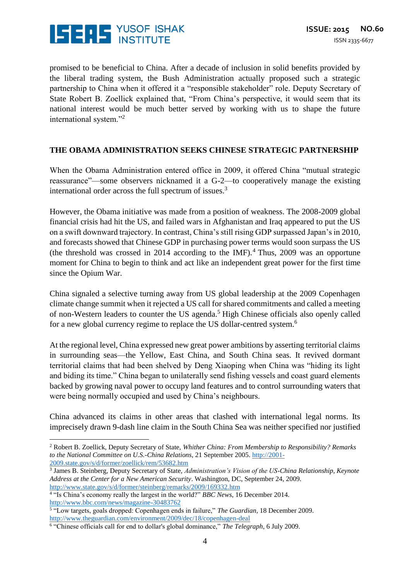

promised to be beneficial to China. After a decade of inclusion in solid benefits provided by the liberal trading system, the Bush Administration actually proposed such a strategic partnership to China when it offered it a "responsible stakeholder" role. Deputy Secretary of State Robert B. Zoellick explained that, "From China's perspective, it would seem that its national interest would be much better served by working with us to shape the future international system."<sup>2</sup>

#### **THE OBAMA ADMINISTRATION SEEKS CHINESE STRATEGIC PARTNERSHIP**

When the Obama Administration entered office in 2009, it offered China "mutual strategic reassurance"—some observers nicknamed it a G-2—to cooperatively manage the existing international order across the full spectrum of issues.<sup>3</sup>

However, the Obama initiative was made from a position of weakness. The 2008-2009 global financial crisis had hit the US, and failed wars in Afghanistan and Iraq appeared to put the US on a swift downward trajectory. In contrast, China's still rising GDP surpassed Japan's in 2010, and forecasts showed that Chinese GDP in purchasing power terms would soon surpass the US (the threshold was crossed in 2014 according to the IMF).<sup>4</sup> Thus, 2009 was an opportune moment for China to begin to think and act like an independent great power for the first time since the Opium War.

China signaled a selective turning away from US global leadership at the 2009 Copenhagen climate change summit when it rejected a US call for shared commitments and called a meeting of non-Western leaders to counter the US agenda.<sup>5</sup> High Chinese officials also openly called for a new global currency regime to replace the US dollar-centred system.<sup>6</sup>

At the regional level, China expressed new great power ambitions by asserting territorial claims in surrounding seas—the Yellow, East China, and South China seas. It revived dormant territorial claims that had been shelved by Deng Xiaoping when China was "hiding its light and biding its time." China began to unilaterally send fishing vessels and coast guard elements backed by growing naval power to occupy land features and to control surrounding waters that were being normally occupied and used by China's neighbours.

China advanced its claims in other areas that clashed with international legal norms. Its imprecisely drawn 9-dash line claim in the South China Sea was neither specified nor justified

 $\overline{a}$ 

<sup>2</sup> Robert B. Zoellick, Deputy Secretary of State, *Whither China: From Membership to Responsibility? Remarks to the National Committee on U.S.-China Relations*, 21 September 2005. [http://2001-](http://2001-2009.state.gov/s/d/former/zoellick/rem/53682.htm) [2009.state.gov/s/d/former/zoellick/rem/53682.htm](http://2001-2009.state.gov/s/d/former/zoellick/rem/53682.htm)

<sup>3</sup> James B. Steinberg, Deputy Secretary of State, *Administration's Vision of the US-China Relationship, Keynote Address at the Center for a New American Security*. Washington, DC, September 24, 2009. <http://www.state.gov/s/d/former/steinberg/remarks/2009/169332.htm>

<sup>4</sup> "Is China's economy really the largest in the world?" *BBC News*, 16 December 2014. <http://www.bbc.com/news/magazine-30483762>

<sup>5</sup> "Low targets, goals dropped: Copenhagen ends in failure," *The Guardian*, 18 December 2009. <http://www.theguardian.com/environment/2009/dec/18/copenhagen-deal>

<sup>6</sup> "Chinese officials call for end to dollar's global dominance," *The Telegraph*, 6 July 2009.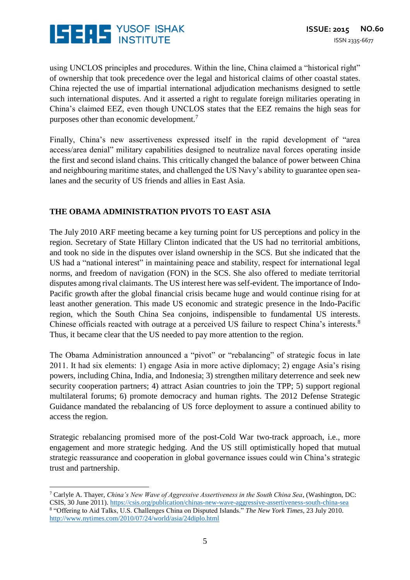

using UNCLOS principles and procedures. Within the line, China claimed a "historical right" of ownership that took precedence over the legal and historical claims of other coastal states. China rejected the use of impartial international adjudication mechanisms designed to settle such international disputes. And it asserted a right to regulate foreign militaries operating in China's claimed EEZ, even though UNCLOS states that the EEZ remains the high seas for purposes other than economic development.<sup>7</sup>

Finally, China's new assertiveness expressed itself in the rapid development of "area access/area denial" military capabilities designed to neutralize naval forces operating inside the first and second island chains. This critically changed the balance of power between China and neighbouring maritime states, and challenged the US Navy's ability to guarantee open sealanes and the security of US friends and allies in East Asia.

#### **THE OBAMA ADMINISTRATION PIVOTS TO EAST ASIA**

The July 2010 ARF meeting became a key turning point for US perceptions and policy in the region. Secretary of State Hillary Clinton indicated that the US had no territorial ambitions, and took no side in the disputes over island ownership in the SCS. But she indicated that the US had a "national interest" in maintaining peace and stability, respect for international legal norms, and freedom of navigation (FON) in the SCS. She also offered to mediate territorial disputes among rival claimants. The US interest here was self-evident. The importance of Indo-Pacific growth after the global financial crisis became huge and would continue rising for at least another generation. This made US economic and strategic presence in the Indo-Pacific region, which the South China Sea conjoins, indispensible to fundamental US interests. Chinese officials reacted with outrage at a perceived US failure to respect China's interests.<sup>8</sup> Thus, it became clear that the US needed to pay more attention to the region.

The Obama Administration announced a "pivot" or "rebalancing" of strategic focus in late 2011. It had six elements: 1) engage Asia in more active diplomacy; 2) engage Asia's rising powers, including China, India, and Indonesia; 3) strengthen military deterrence and seek new security cooperation partners; 4) attract Asian countries to join the TPP; 5) support regional multilateral forums; 6) promote democracy and human rights. The 2012 Defense Strategic Guidance mandated the rebalancing of US force deployment to assure a continued ability to access the region.

Strategic rebalancing promised more of the post-Cold War two-track approach, i.e., more engagement and more strategic hedging. And the US still optimistically hoped that mutual strategic reassurance and cooperation in global governance issues could win China's strategic trust and partnership.

 $\overline{a}$ 

<sup>7</sup> Carlyle A. Thayer, *China's New Wave of Aggressive Assertiveness in the South China Sea*, (Washington, DC: CSIS, 30 June 2011).<https://csis.org/publication/chinas-new-wave-aggressive-assertiveness-south-china-sea> 8 "Offering to Aid Talks, U.S. Challenges China on Disputed Islands." *The New York Times*, 23 July 2010. <http://www.nytimes.com/2010/07/24/world/asia/24diplo.html>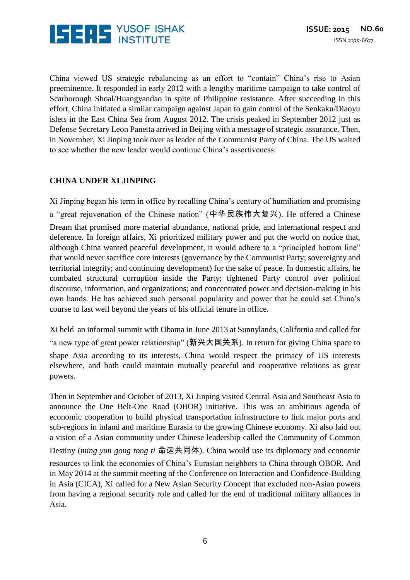

China viewed US strategic rebalancing as an effort to "contain" China's rise to Asian preeminence. It responded in early 2012 with a lengthy maritime campaign to take control of Scarborough Shoal/Huangyandao in spite of Philippine resistance. After succeeding in this effort, China initiated a similar campaign against Japan to gain control of the Senkaku/Diaoyu islets in the East China Sea from August 2012. The crisis peaked in September 2012 just as Defense Secretary Leon Panetta arrived in Beijing with a message of strategic assurance. Then, in November, Xi Jinping took over as leader of the Communist Party of China. The US waited to see whether the new leader would continue China's assertiveness.

#### **CHINA UNDER XI JINPING**

Xi Jinping began his term in office by recalling China's century of humiliation and promising a "great rejuvenation of the Chinese nation" (中华民族伟大复兴). He offered a Chinese Dream that promised more material abundance, national pride, and international respect and deference. In foreign affairs, Xi prioritized military power and put the world on notice that, although China wanted peaceful development, it would adhere to a "principled bottom line" that would never sacrifice core interests (governance by the Communist Party; sovereignty and territorial integrity; and continuing development) for the sake of peace. In domestic affairs, he combated structural corruption inside the Party; tightened Party control over political discourse, information, and organizations; and concentrated power and decision-making in his own hands. He has achieved such personal popularity and power that he could set China's course to last well beyond the years of his official tenure in office.

Xi held an informal summit with Obama in June 2013 at Sunnylands, California and called for "a new type of great power relationship" (新兴大国关系). In return for giving China space to shape Asia according to its interests, China would respect the primacy of US interests elsewhere, and both could maintain mutually peaceful and cooperative relations as great powers.

Then in September and October of 2013, Xi Jinping visited Central Asia and Southeast Asia to announce the One Belt-One Road (OBOR) initiative. This was an ambitious agenda of economic cooperation to build physical transportation infrastructure to link major ports and sub-regions in inland and maritime Eurasia to the growing Chinese economy. Xi also laid out a vision of a Asian community under Chinese leadership called the Community of Common Destiny (*ming yun gong tong ti* 命运共同体). China would use its diplomacy and economic resources to link the economies of China's Eurasian neighbors to China through OBOR. And in May 2014 at the summit meeting of the Conference on Interaction and Confidence-Building in Asia (CICA), Xi called for a New Asian Security Concept that excluded non-Asian powers from having a regional security role and called for the end of traditional military alliances in Asia.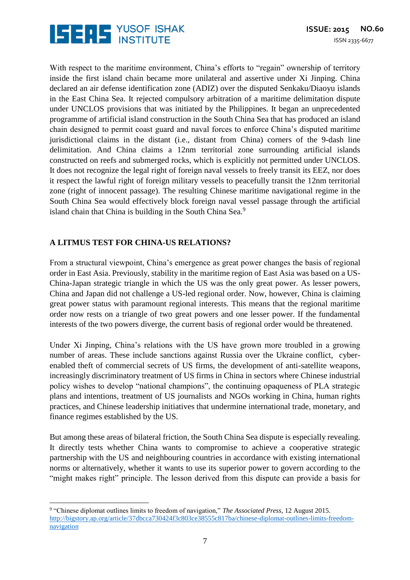

With respect to the maritime environment, China's efforts to "regain" ownership of territory inside the first island chain became more unilateral and assertive under Xi Jinping. China declared an air defense identification zone (ADIZ) over the disputed Senkaku/Diaoyu islands in the East China Sea. It rejected compulsory arbitration of a maritime delimitation dispute under UNCLOS provisions that was initiated by the Philippines. It began an unprecedented programme of artificial island construction in the South China Sea that has produced an island chain designed to permit coast guard and naval forces to enforce China's disputed maritime jurisdictional claims in the distant (i.e., distant from China) corners of the 9-dash line delimitation. And China claims a 12nm territorial zone surrounding artificial islands constructed on reefs and submerged rocks, which is explicitly not permitted under UNCLOS. It does not recognize the legal right of foreign naval vessels to freely transit its EEZ, nor does it respect the lawful right of foreign military vessels to peacefully transit the 12nm territorial zone (right of innocent passage). The resulting Chinese maritime navigational regime in the South China Sea would effectively block foreign naval vessel passage through the artificial island chain that China is building in the South China Sea.<sup>9</sup>

#### **A LITMUS TEST FOR CHINA-US RELATIONS?**

From a structural viewpoint, China's emergence as great power changes the basis of regional order in East Asia. Previously, stability in the maritime region of East Asia was based on a US-China-Japan strategic triangle in which the US was the only great power. As lesser powers, China and Japan did not challenge a US-led regional order. Now, however, China is claiming great power status with paramount regional interests. This means that the regional maritime order now rests on a triangle of two great powers and one lesser power. If the fundamental interests of the two powers diverge, the current basis of regional order would be threatened.

Under Xi Jinping, China's relations with the US have grown more troubled in a growing number of areas. These include sanctions against Russia over the Ukraine conflict, cyberenabled theft of commercial secrets of US firms, the development of anti-satellite weapons, increasingly discriminatory treatment of US firms in China in sectors where Chinese industrial policy wishes to develop "national champions", the continuing opaqueness of PLA strategic plans and intentions, treatment of US journalists and NGOs working in China, human rights practices, and Chinese leadership initiatives that undermine international trade, monetary, and finance regimes established by the US.

But among these areas of bilateral friction, the South China Sea dispute is especially revealing. It directly tests whether China wants to compromise to achieve a cooperative strategic partnership with the US and neighbouring countries in accordance with existing international norms or alternatively, whether it wants to use its superior power to govern according to the "might makes right" principle. The lesson derived from this dispute can provide a basis for

 $\overline{\phantom{a}}$ 9 "Chinese diplomat outlines limits to freedom of navigation," *The Associated Press*, 12 August 2015. [http://bigstory.ap.org/article/37dbcca730424f3c803ce38555c817ba/chinese-diplomat-outlines-limits-freedom](http://bigstory.ap.org/article/37dbcca730424f3c803ce38555c817ba/chinese-diplomat-outlines-limits-freedom-navigation)[navigation](http://bigstory.ap.org/article/37dbcca730424f3c803ce38555c817ba/chinese-diplomat-outlines-limits-freedom-navigation)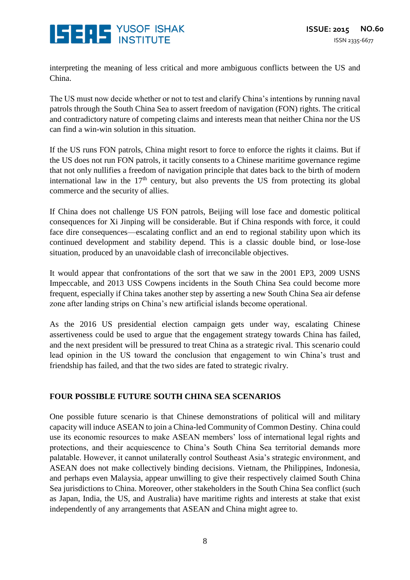

interpreting the meaning of less critical and more ambiguous conflicts between the US and China.

The US must now decide whether or not to test and clarify China's intentions by running naval patrols through the South China Sea to assert freedom of navigation (FON) rights. The critical and contradictory nature of competing claims and interests mean that neither China nor the US can find a win-win solution in this situation.

If the US runs FON patrols, China might resort to force to enforce the rights it claims. But if the US does not run FON patrols, it tacitly consents to a Chinese maritime governance regime that not only nullifies a freedom of navigation principle that dates back to the birth of modern international law in the  $17<sup>th</sup>$  century, but also prevents the US from protecting its global commerce and the security of allies.

If China does not challenge US FON patrols, Beijing will lose face and domestic political consequences for Xi Jinping will be considerable. But if China responds with force, it could face dire consequences—escalating conflict and an end to regional stability upon which its continued development and stability depend. This is a classic double bind, or lose-lose situation, produced by an unavoidable clash of irreconcilable objectives.

It would appear that confrontations of the sort that we saw in the 2001 EP3, 2009 USNS Impeccable, and 2013 USS Cowpens incidents in the South China Sea could become more frequent, especially if China takes another step by asserting a new South China Sea air defense zone after landing strips on China's new artificial islands become operational.

As the 2016 US presidential election campaign gets under way, escalating Chinese assertiveness could be used to argue that the engagement strategy towards China has failed, and the next president will be pressured to treat China as a strategic rival. This scenario could lead opinion in the US toward the conclusion that engagement to win China's trust and friendship has failed, and that the two sides are fated to strategic rivalry.

#### **FOUR POSSIBLE FUTURE SOUTH CHINA SEA SCENARIOS**

One possible future scenario is that Chinese demonstrations of political will and military capacity will induce ASEAN to join a China-led Community of Common Destiny. China could use its economic resources to make ASEAN members' loss of international legal rights and protections, and their acquiescence to China's South China Sea territorial demands more palatable. However, it cannot unilaterally control Southeast Asia's strategic environment, and ASEAN does not make collectively binding decisions. Vietnam, the Philippines, Indonesia, and perhaps even Malaysia, appear unwilling to give their respectively claimed South China Sea jurisdictions to China. Moreover, other stakeholders in the South China Sea conflict (such as Japan, India, the US, and Australia) have maritime rights and interests at stake that exist independently of any arrangements that ASEAN and China might agree to.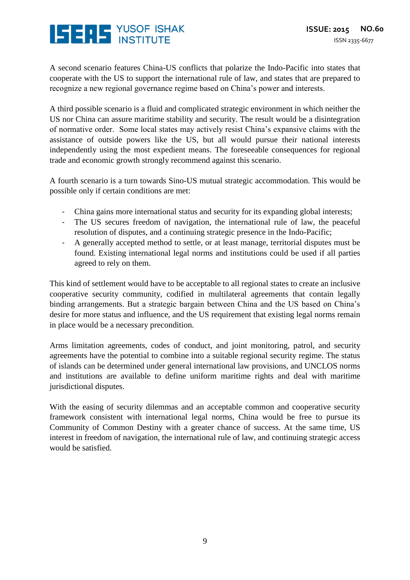## **ISERS** YUSOF ISHAK

A second scenario features China-US conflicts that polarize the Indo-Pacific into states that cooperate with the US to support the international rule of law, and states that are prepared to recognize a new regional governance regime based on China's power and interests.

A third possible scenario is a fluid and complicated strategic environment in which neither the US nor China can assure maritime stability and security. The result would be a disintegration of normative order. Some local states may actively resist China's expansive claims with the assistance of outside powers like the US, but all would pursue their national interests independently using the most expedient means. The foreseeable consequences for regional trade and economic growth strongly recommend against this scenario.

A fourth scenario is a turn towards Sino-US mutual strategic accommodation. This would be possible only if certain conditions are met:

- China gains more international status and security for its expanding global interests;
- The US secures freedom of navigation, the international rule of law, the peaceful resolution of disputes, and a continuing strategic presence in the Indo-Pacific;
- A generally accepted method to settle, or at least manage, territorial disputes must be found. Existing international legal norms and institutions could be used if all parties agreed to rely on them.

This kind of settlement would have to be acceptable to all regional states to create an inclusive cooperative security community, codified in multilateral agreements that contain legally binding arrangements. But a strategic bargain between China and the US based on China's desire for more status and influence, and the US requirement that existing legal norms remain in place would be a necessary precondition.

Arms limitation agreements, codes of conduct, and joint monitoring, patrol, and security agreements have the potential to combine into a suitable regional security regime. The status of islands can be determined under general international law provisions, and UNCLOS norms and institutions are available to define uniform maritime rights and deal with maritime jurisdictional disputes.

With the easing of security dilemmas and an acceptable common and cooperative security framework consistent with international legal norms, China would be free to pursue its Community of Common Destiny with a greater chance of success. At the same time, US interest in freedom of navigation, the international rule of law, and continuing strategic access would be satisfied.